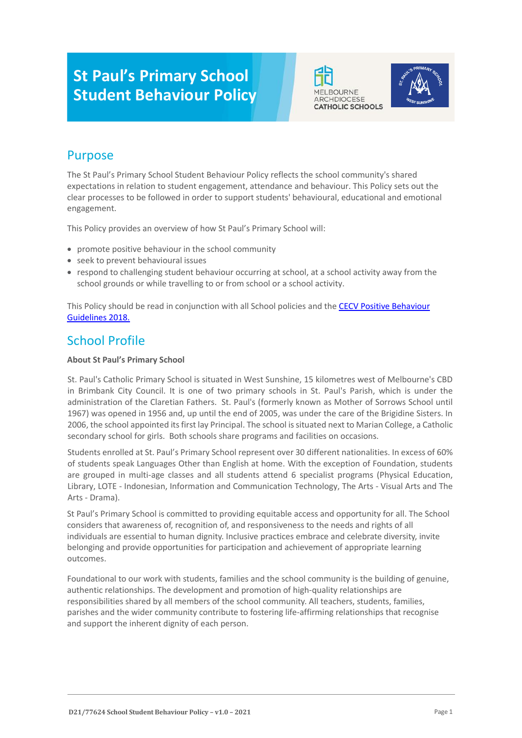# **St Paul's Primary School Student Behaviour Policy**





# Purpose

The St Paul's Primary School Student Behaviour Policy reflects the school community's shared expectations in relation to student engagement, attendance and behaviour. This Policy sets out the clear processes to be followed in order to support students' behavioural, educational and emotional engagement.

This Policy provides an overview of how St Paul's Primary School will:

- promote positive behaviour in the school community
- seek to prevent behavioural issues
- respond to challenging student behaviour occurring at school, at a school activity away from the school grounds or while travelling to or from school or a school activity.

This Policy should be read in conjunction with all School policies and the [CECV Positive Behaviour](https://www.cecv.catholic.edu.au/getmedia/bc1d235d-9a98-4bb4-b3ac-84b50fa7c639/CECV-Positive-Behaviour-Guidelines_FINAL2.aspx?ext=.pdf)  [Guidelines 2018.](https://www.cecv.catholic.edu.au/getmedia/bc1d235d-9a98-4bb4-b3ac-84b50fa7c639/CECV-Positive-Behaviour-Guidelines_FINAL2.aspx?ext=.pdf)

### School Profile

### **About St Paul's Primary School**

St. Paul's Catholic Primary School is situated in West Sunshine, 15 kilometres west of Melbourne's CBD in Brimbank City Council. It is one of two primary schools in St. Paul's Parish, which is under the administration of the Claretian Fathers. St. Paul's (formerly known as Mother of Sorrows School until 1967) was opened in 1956 and, up until the end of 2005, was under the care of the Brigidine Sisters. In 2006, the school appointed its first lay Principal. The school is situated next to Marian College, a Catholic secondary school for girls. Both schools share programs and facilities on occasions.

Students enrolled at St. Paul's Primary School represent over 30 different nationalities. In excess of 60% of students speak Languages Other than English at home. With the exception of Foundation, students are grouped in multi-age classes and all students attend 6 specialist programs (Physical Education, Library, LOTE - Indonesian, Information and Communication Technology, The Arts - Visual Arts and The Arts - Drama).

St Paul's Primary School is committed to providing equitable access and opportunity for all. The School considers that awareness of, recognition of, and responsiveness to the needs and rights of all individuals are essential to human dignity. Inclusive practices embrace and celebrate diversity, invite belonging and provide opportunities for participation and achievement of appropriate learning outcomes.

Foundational to our work with students, families and the school community is the building of genuine, authentic relationships. The development and promotion of high-quality relationships are responsibilities shared by all members of the school community. All teachers, students, families, parishes and the wider community contribute to fostering life-affirming relationships that recognise and support the inherent dignity of each person.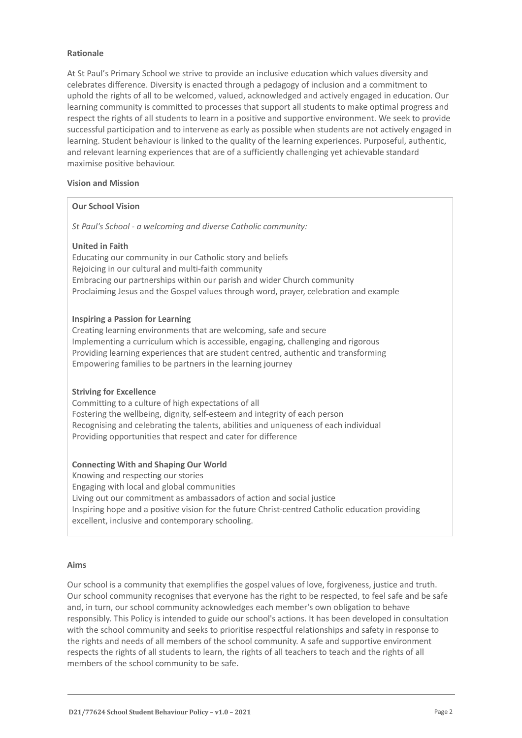### **Rationale**

At St Paul's Primary School we strive to provide an inclusive education which values diversity and celebrates difference. Diversity is enacted through a pedagogy of inclusion and a commitment to uphold the rights of all to be welcomed, valued, acknowledged and actively engaged in education. Our learning community is committed to processes that support all students to make optimal progress and respect the rights of all students to learn in a positive and supportive environment. We seek to provide successful participation and to intervene as early as possible when students are not actively engaged in learning. Student behaviour is linked to the quality of the learning experiences. Purposeful, authentic, and relevant learning experiences that are of a sufficiently challenging yet achievable standard maximise positive behaviour.

### **Vision and Mission**

### **Our School Vision**

*St Paul's School - a welcoming and diverse Catholic community:*

### **United in Faith**

Educating our community in our Catholic story and beliefs Rejoicing in our cultural and multi-faith community Embracing our partnerships within our parish and wider Church community Proclaiming Jesus and the Gospel values through word, prayer, celebration and example

### **Inspiring a Passion for Learning**

Creating learning environments that are welcoming, safe and secure Implementing a curriculum which is accessible, engaging, challenging and rigorous Providing learning experiences that are student centred, authentic and transforming Empowering families to be partners in the learning journey

### **Striving for Excellence**

Committing to a culture of high expectations of all Fostering the wellbeing, dignity, self-esteem and integrity of each person Recognising and celebrating the talents, abilities and uniqueness of each individual Providing opportunities that respect and cater for difference

### **Connecting With and Shaping Our World**

Knowing and respecting our stories Engaging with local and global communities Living out our commitment as ambassadors of action and social justice Inspiring hope and a positive vision for the future Christ-centred Catholic education providing excellent, inclusive and contemporary schooling.

### **Aims**

Our school is a community that exemplifies the gospel values of love, forgiveness, justice and truth. Our school community recognises that everyone has the right to be respected, to feel safe and be safe and, in turn, our school community acknowledges each member's own obligation to behave responsibly. This Policy is intended to guide our school's actions. It has been developed in consultation with the school community and seeks to prioritise respectful relationships and safety in response to the rights and needs of all members of the school community. A safe and supportive environment respects the rights of all students to learn, the rights of all teachers to teach and the rights of all members of the school community to be safe.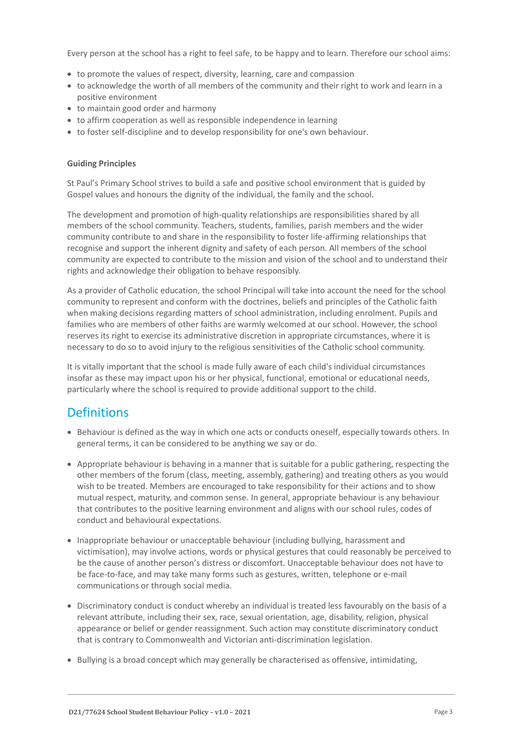Every person at the school has a right to feel safe, to be happy and to learn. Therefore our school aims:

- to promote the values of respect, diversity, learning, care and compassion
- to acknowledge the worth of all members of the community and their right to work and learn in a positive environment
- to maintain good order and harmony
- to affirm cooperation as well as responsible independence in learning
- to foster self-discipline and to develop responsibility for one's own behaviour.

### **Guiding Principles**

St Paul's Primary School strives to build a safe and positive school environment that is guided by Gospel values and honours the dignity of the individual, the family and the school.

The development and promotion of high-quality relationships are responsibilities shared by all members of the school community. Teachers, students, families, parish members and the wider community contribute to and share in the responsibility to foster life-affirming relationships that recognise and support the inherent dignity and safety of each person. All members of the school community are expected to contribute to the mission and vision of the school and to understand their rights and acknowledge their obligation to behave responsibly.

As a provider of Catholic education, the school Principal will take into account the need for the school community to represent and conform with the doctrines, beliefs and principles of the Catholic faith when making decisions regarding matters of school administration, including enrolment. Pupils and families who are members of other faiths are warmly welcomed at our school. However, the school reserves its right to exercise its administrative discretion in appropriate circumstances, where it is necessary to do so to avoid injury to the religious sensitivities of the Catholic school community.

It is vitally important that the school is made fully aware of each child's individual circumstances insofar as these may impact upon his or her physical, functional, emotional or educational needs, particularly where the school is required to provide additional support to the child.

### **Definitions**

- Behaviour is defined as the way in which one acts or conducts oneself, especially towards others. In general terms, it can be considered to be anything we say or do.
- Appropriate behaviour is behaving in a manner that is suitable for a public gathering, respecting the other members of the forum (class, meeting, assembly, gathering) and treating others as you would wish to be treated. Members are encouraged to take responsibility for their actions and to show mutual respect, maturity, and common sense. In general, appropriate behaviour is any behaviour that contributes to the positive learning environment and aligns with our school rules, codes of conduct and behavioural expectations.
- Inappropriate behaviour or unacceptable behaviour (including bullying, harassment and victimisation), may involve actions, words or physical gestures that could reasonably be perceived to be the cause of another person's distress or discomfort. Unacceptable behaviour does not have to be face-to-face, and may take many forms such as gestures, written, telephone or e-mail communications or through social media.
- Discriminatory conduct is conduct whereby an individual is treated less favourably on the basis of a relevant attribute, including their sex, race, sexual orientation, age, disability, religion, physical appearance or belief or gender reassignment. Such action may constitute discriminatory conduct that is contrary to Commonwealth and Victorian anti-discrimination legislation.
- Bullying is a broad concept which may generally be characterised as offensive, intimidating,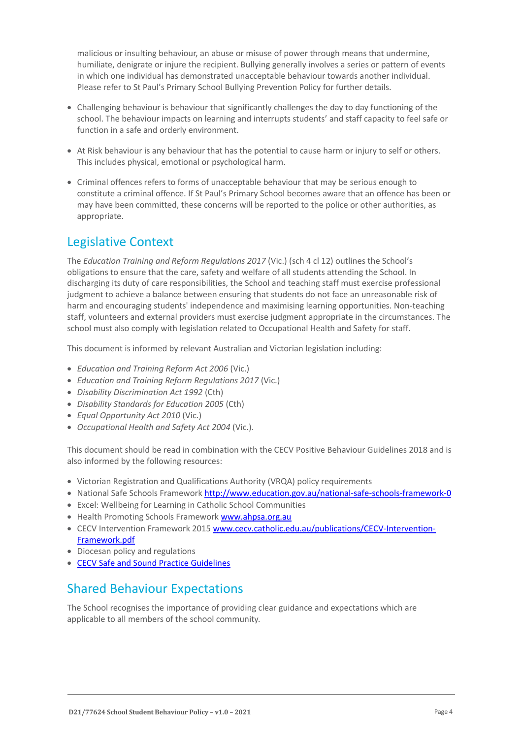malicious or insulting behaviour, an abuse or misuse of power through means that undermine, humiliate, denigrate or injure the recipient. Bullying generally involves a series or pattern of events in which one individual has demonstrated unacceptable behaviour towards another individual. Please refer to St Paul's Primary School Bullying Prevention Policy for further details.

- Challenging behaviour is behaviour that significantly challenges the day to day functioning of the school. The behaviour impacts on learning and interrupts students' and staff capacity to feel safe or function in a safe and orderly environment.
- At Risk behaviour is any behaviour that has the potential to cause harm or injury to self or others. This includes physical, emotional or psychological harm.
- Criminal offences refers to forms of unacceptable behaviour that may be serious enough to constitute a criminal offence. If St Paul's Primary School becomes aware that an offence has been or may have been committed, these concerns will be reported to the police or other authorities, as appropriate.

# Legislative Context

The *Education Training and Reform Regulations 2017* (Vic.) (sch 4 cl 12) outlines the School's obligations to ensure that the care, safety and welfare of all students attending the School. In discharging its duty of care responsibilities, the School and teaching staff must exercise professional judgment to achieve a balance between ensuring that students do not face an unreasonable risk of harm and encouraging students' independence and maximising learning opportunities. Non-teaching staff, volunteers and external providers must exercise judgment appropriate in the circumstances. The school must also comply with legislation related to Occupational Health and Safety for staff.

This document is informed by relevant Australian and Victorian legislation including:

- *Education and Training Reform Act 2006* (Vic.)
- *Education and Training Reform Regulations 2017* (Vic.)
- *Disability Discrimination Act 1992* (Cth)
- *Disability Standards for Education 2005* (Cth)
- *Equal Opportunity Act 2010* (Vic.)
- *Occupational Health and Safety Act 2004* (Vic.).

This document should be read in combination with the CECV Positive Behaviour Guidelines 2018 and is also informed by the following resources:

- Victorian Registration and Qualifications Authority (VRQA) policy requirements
- National Safe Schools Framework<http://www.education.gov.au/national-safe-schools-framework-0>
- Excel: Wellbeing for Learning in Catholic School Communities
- Health Promoting Schools Framewor[k www.ahpsa.org.au](http://www.ahpsa.org.au/)
- CECV Intervention Framework 201[5 www.cecv.catholic.edu.au/publications/CECV-Intervention-](http://www.cecv.catholic.edu.au/publications/CECV-Intervention-Framework.pdf)[Framework.pdf](http://www.cecv.catholic.edu.au/publications/CECV-Intervention-Framework.pdf)
- Diocesan policy and regulations
- [CECV Safe and Sound Practice Guidelines](https://www.cecv.catholic.edu.au/getmedia/bad5e328-b5f9-4742-a66c-0c7f20ae21ff/Safe-and-Sound-Practice-Guidelines.aspx)

### Shared Behaviour Expectations

The School recognises the importance of providing clear guidance and expectations which are applicable to all members of the school community.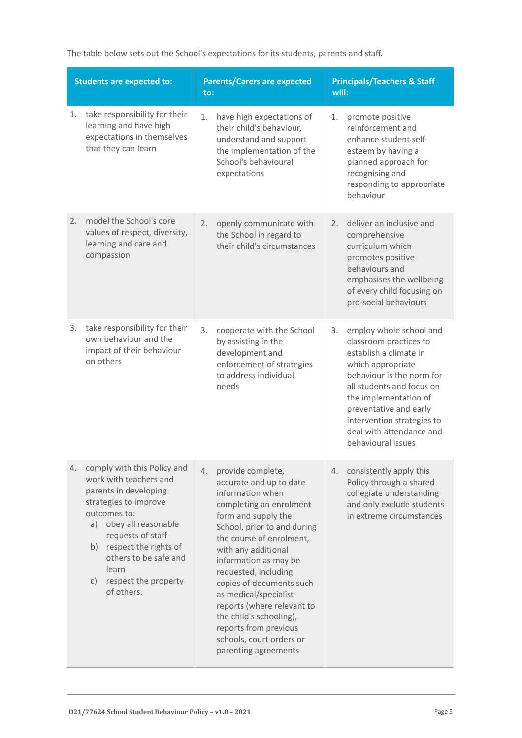The table below sets out the School's expectations for its students, parents and staff.

| <b>Students are expected to:</b> |                                                                                                                                                                                                                                                                                        |    | <b>Parents/Carers are expected</b><br>to:                                                                                                                                                                                                                                                                                                                                                                                                        |    | <b>Principals/Teachers &amp; Staff</b><br>will:                                                                                                                                                                                                                                               |  |
|----------------------------------|----------------------------------------------------------------------------------------------------------------------------------------------------------------------------------------------------------------------------------------------------------------------------------------|----|--------------------------------------------------------------------------------------------------------------------------------------------------------------------------------------------------------------------------------------------------------------------------------------------------------------------------------------------------------------------------------------------------------------------------------------------------|----|-----------------------------------------------------------------------------------------------------------------------------------------------------------------------------------------------------------------------------------------------------------------------------------------------|--|
| 1.                               | take responsibility for their<br>learning and have high<br>expectations in themselves<br>that they can learn                                                                                                                                                                           | 1. | have high expectations of<br>their child's behaviour,<br>understand and support<br>the implementation of the<br>School's behavioural<br>expectations                                                                                                                                                                                                                                                                                             | 1. | promote positive<br>reinforcement and<br>enhance student self-<br>esteem by having a<br>planned approach for<br>recognising and<br>responding to appropriate<br>behaviour                                                                                                                     |  |
| 2.                               | model the School's core<br>values of respect, diversity,<br>learning and care and<br>compassion                                                                                                                                                                                        | 2. | openly communicate with<br>the School in regard to<br>their child's circumstances                                                                                                                                                                                                                                                                                                                                                                | 2. | deliver an inclusive and<br>comprehensive<br>curriculum which<br>promotes positive<br>behaviours and<br>emphasises the wellbeing<br>of every child focusing on<br>pro-social behaviours                                                                                                       |  |
| 3.                               | take responsibility for their<br>own behaviour and the<br>impact of their behaviour<br>on others                                                                                                                                                                                       | 3. | cooperate with the School<br>by assisting in the<br>development and<br>enforcement of strategies<br>to address individual<br>needs                                                                                                                                                                                                                                                                                                               | 3. | employ whole school and<br>classroom practices to<br>establish a climate in<br>which appropriate<br>behaviour is the norm for<br>all students and focus on<br>the implementation of<br>preventative and early<br>intervention strategies to<br>deal with attendance and<br>behavioural issues |  |
| 4.                               | comply with this Policy and<br>work with teachers and<br>parents in developing<br>strategies to improve<br>outcomes to:<br>obey all reasonable<br>a)<br>requests of staff<br>respect the rights of<br>b)<br>others to be safe and<br>learn<br>respect the property<br>C)<br>of others. | 4. | provide complete,<br>accurate and up to date<br>information when<br>completing an enrolment<br>form and supply the<br>School, prior to and during<br>the course of enrolment,<br>with any additional<br>information as may be<br>requested, including<br>copies of documents such<br>as medical/specialist<br>reports (where relevant to<br>the child's schooling),<br>reports from previous<br>schools, court orders or<br>parenting agreements | 4. | consistently apply this<br>Policy through a shared<br>collegiate understanding<br>and only exclude students<br>in extreme circumstances                                                                                                                                                       |  |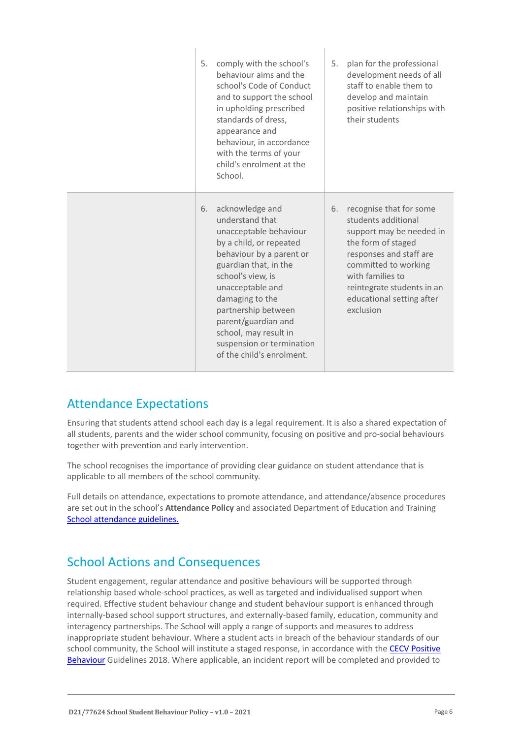| 5. | comply with the school's<br>behaviour aims and the<br>school's Code of Conduct<br>and to support the school<br>in upholding prescribed<br>standards of dress,<br>appearance and<br>behaviour, in accordance<br>with the terms of your<br>child's enrolment at the<br>School.                                                              | 5. | plan for the professional<br>development needs of all<br>staff to enable them to<br>develop and maintain<br>positive relationships with<br>their students                                                                                       |
|----|-------------------------------------------------------------------------------------------------------------------------------------------------------------------------------------------------------------------------------------------------------------------------------------------------------------------------------------------|----|-------------------------------------------------------------------------------------------------------------------------------------------------------------------------------------------------------------------------------------------------|
| 6. | acknowledge and<br>understand that<br>unacceptable behaviour<br>by a child, or repeated<br>behaviour by a parent or<br>guardian that, in the<br>school's view, is<br>unacceptable and<br>damaging to the<br>partnership between<br>parent/guardian and<br>school, may result in<br>suspension or termination<br>of the child's enrolment. | 6. | recognise that for some<br>students additional<br>support may be needed in<br>the form of staged<br>responses and staff are<br>committed to working<br>with families to<br>reintegrate students in an<br>educational setting after<br>exclusion |

 $\overline{\phantom{a}}$ 

### Attendance Expectations

Ensuring that students attend school each day is a legal requirement. It is also a shared expectation of all students, parents and the wider school community, focusing on positive and pro-social behaviours together with prevention and early intervention.

The school recognises the importance of providing clear guidance on student attendance that is applicable to all members of the school community.

Full details on attendance, expectations to promote attendance, and attendance/absence procedures are set out in the school's **Attendance Policy** and associated Department of Education and Training [School attendance guidelines.](https://www2.education.vic.gov.au/pal/attendance/guidance)

### School Actions and Consequences

Student engagement, regular attendance and positive behaviours will be supported through relationship based whole-school practices, as well as targeted and individualised support when required. Effective student behaviour change and student behaviour support is enhanced through internally-based school support structures, and externally-based family, education, community and interagency partnerships. The School will apply a range of supports and measures to address inappropriate student behaviour. Where a student acts in breach of the behaviour standards of our school community, the School will institute a staged response, in accordance with the CECV Positive [Behaviour](https://www.cecv.catholic.edu.au/getmedia/bc1d235d-9a98-4bb4-b3ac-84b50fa7c639/CECV-Positive-Behaviour-Guidelines_FINAL2.aspx?ext=.pdf) Guidelines 2018. Where applicable, an incident report will be completed and provided to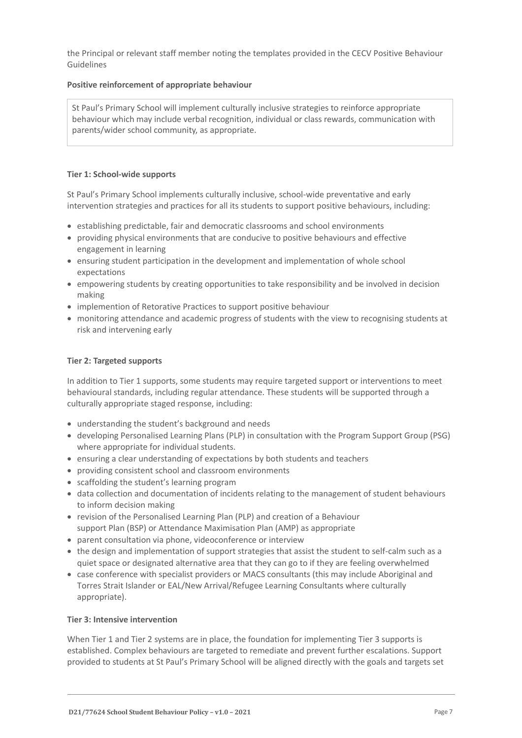the Principal or relevant staff member noting the templates provided in the CECV Positive Behaviour Guidelines

### **Positive reinforcement of appropriate behaviour**

St Paul's Primary School will implement culturally inclusive strategies to reinforce appropriate behaviour which may include verbal recognition, individual or class rewards, communication with parents/wider school community, as appropriate.

### **Tier 1: School-wide supports**

St Paul's Primary School implements culturally inclusive, school-wide preventative and early intervention strategies and practices for all its students to support positive behaviours, including:

- establishing predictable, fair and democratic classrooms and school environments
- providing physical environments that are conducive to positive behaviours and effective engagement in learning
- ensuring student participation in the development and implementation of whole school expectations
- empowering students by creating opportunities to take responsibility and be involved in decision making
- implemention of Retorative Practices to support positive behaviour
- monitoring attendance and academic progress of students with the view to recognising students at risk and intervening early

### **Tier 2: Targeted supports**

In addition to Tier 1 supports, some students may require targeted support or interventions to meet behavioural standards, including regular attendance. These students will be supported through a culturally appropriate staged response, including:

- understanding the student's background and needs
- developing Personalised Learning Plans (PLP) in consultation with the Program Support Group (PSG) where appropriate for individual students.
- ensuring a clear understanding of expectations by both students and teachers
- providing consistent school and classroom environments
- scaffolding the student's learning program
- data collection and documentation of incidents relating to the management of student behaviours to inform decision making
- revision of the Personalised Learning Plan (PLP) and creation of a Behaviour support Plan (BSP) or Attendance Maximisation Plan (AMP) as appropriate
- parent consultation via phone, videoconference or interview
- the design and implementation of support strategies that assist the student to self-calm such as a quiet space or designated alternative area that they can go to if they are feeling overwhelmed
- case conference with specialist providers or MACS consultants (this may include Aboriginal and Torres Strait Islander or EAL/New Arrival/Refugee Learning Consultants where culturally appropriate).

### **Tier 3: Intensive intervention**

When Tier 1 and Tier 2 systems are in place, the foundation for implementing Tier 3 supports is established. Complex behaviours are targeted to remediate and prevent further escalations. Support provided to students at St Paul's Primary School will be aligned directly with the goals and targets set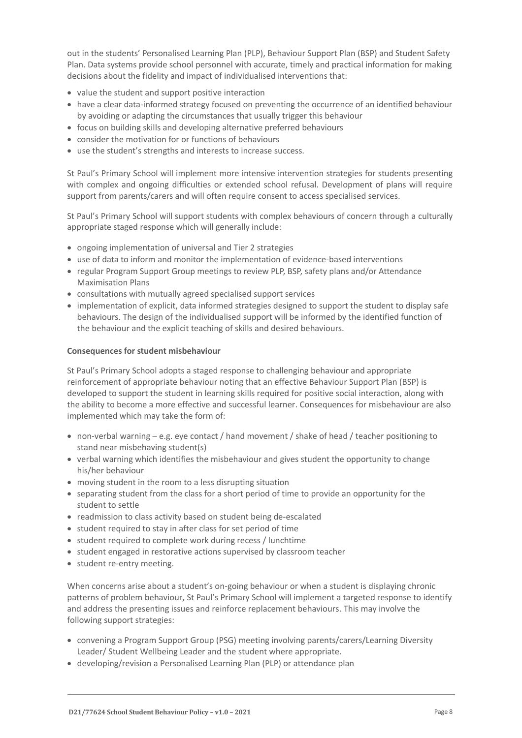out in the students' Personalised Learning Plan (PLP), Behaviour Support Plan (BSP) and Student Safety Plan. Data systems provide school personnel with accurate, timely and practical information for making decisions about the fidelity and impact of individualised interventions that:

- value the student and support positive interaction
- have a clear data-informed strategy focused on preventing the occurrence of an identified behaviour by avoiding or adapting the circumstances that usually trigger this behaviour
- focus on building skills and developing alternative preferred behaviours
- consider the motivation for or functions of behaviours
- use the student's strengths and interests to increase success.

St Paul's Primary School will implement more intensive intervention strategies for students presenting with complex and ongoing difficulties or extended school refusal. Development of plans will require support from parents/carers and will often require consent to access specialised services.

St Paul's Primary School will support students with complex behaviours of concern through a culturally appropriate staged response which will generally include:

- ongoing implementation of universal and Tier 2 strategies
- use of data to inform and monitor the implementation of evidence-based interventions
- regular Program Support Group meetings to review PLP, BSP, safety plans and/or Attendance Maximisation Plans
- consultations with mutually agreed specialised support services
- implementation of explicit, data informed strategies designed to support the student to display safe behaviours. The design of the individualised support will be informed by the identified function of the behaviour and the explicit teaching of skills and desired behaviours.

### **Consequences for student misbehaviour**

St Paul's Primary School adopts a staged response to challenging behaviour and appropriate reinforcement of appropriate behaviour noting that an effective Behaviour Support Plan (BSP) is developed to support the student in learning skills required for positive social interaction, along with the ability to become a more effective and successful learner. Consequences for misbehaviour are also implemented which may take the form of:

- non-verbal warning e.g. eye contact / hand movement / shake of head / teacher positioning to stand near misbehaving student(s)
- verbal warning which identifies the misbehaviour and gives student the opportunity to change his/her behaviour
- moving student in the room to a less disrupting situation
- separating student from the class for a short period of time to provide an opportunity for the student to settle
- readmission to class activity based on student being de-escalated
- student required to stay in after class for set period of time
- student required to complete work during recess / lunchtime
- student engaged in restorative actions supervised by classroom teacher
- student re-entry meeting.

When concerns arise about a student's on-going behaviour or when a student is displaying chronic patterns of problem behaviour, St Paul's Primary School will implement a targeted response to identify and address the presenting issues and reinforce replacement behaviours. This may involve the following support strategies:

- convening a Program Support Group (PSG) meeting involving parents/carers/Learning Diversity Leader/ Student Wellbeing Leader and the student where appropriate.
- developing/revision a Personalised Learning Plan (PLP) or attendance plan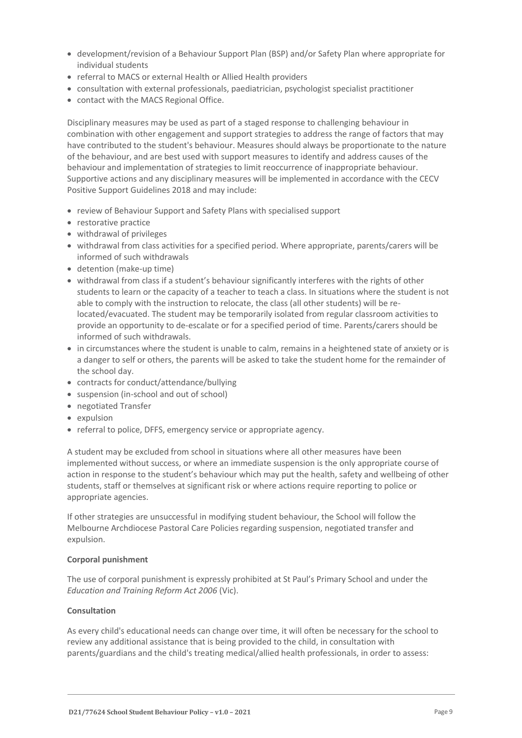- development/revision of a Behaviour Support Plan (BSP) and/or Safety Plan where appropriate for individual students
- referral to MACS or external Health or Allied Health providers
- consultation with external professionals, paediatrician, psychologist specialist practitioner
- contact with the MACS Regional Office.

Disciplinary measures may be used as part of a staged response to challenging behaviour in combination with other engagement and support strategies to address the range of factors that may have contributed to the student's behaviour. Measures should always be proportionate to the nature of the behaviour, and are best used with support measures to identify and address causes of the behaviour and implementation of strategies to limit reoccurrence of inappropriate behaviour. Supportive actions and any disciplinary measures will be implemented in accordance with the CECV Positive Support Guidelines 2018 and may include:

- review of Behaviour Support and Safety Plans with specialised support
- restorative practice
- withdrawal of privileges
- withdrawal from class activities for a specified period. Where appropriate, parents/carers will be informed of such withdrawals
- detention (make-up time)
- withdrawal from class if a student's behaviour significantly interferes with the rights of other students to learn or the capacity of a teacher to teach a class. In situations where the student is not able to comply with the instruction to relocate, the class (all other students) will be relocated/evacuated. The student may be temporarily isolated from regular classroom activities to provide an opportunity to de-escalate or for a specified period of time. Parents/carers should be informed of such withdrawals.
- in circumstances where the student is unable to calm, remains in a heightened state of anxiety or is a danger to self or others, the parents will be asked to take the student home for the remainder of the school day.
- contracts for conduct/attendance/bullying
- suspension (in-school and out of school)
- negotiated Transfer
- expulsion
- referral to police, DFFS, emergency service or appropriate agency.

A student may be excluded from school in situations where all other measures have been implemented without success, or where an immediate suspension is the only appropriate course of action in response to the student's behaviour which may put the health, safety and wellbeing of other students, staff or themselves at significant risk or where actions require reporting to police or appropriate agencies.

If other strategies are unsuccessful in modifying student behaviour, the School will follow the Melbourne Archdiocese Pastoral Care Policies regarding suspension, negotiated transfer and expulsion.

### **Corporal punishment**

The use of corporal punishment is expressly prohibited at St Paul's Primary School and under the *Education and Training Reform Act 2006* (Vic).

### **Consultation**

As every child's educational needs can change over time, it will often be necessary for the school to review any additional assistance that is being provided to the child, in consultation with parents/guardians and the child's treating medical/allied health professionals, in order to assess: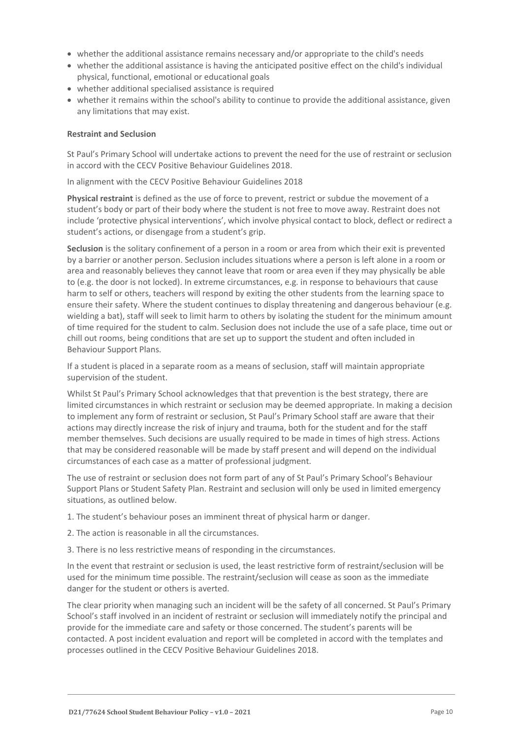- whether the additional assistance remains necessary and/or appropriate to the child's needs
- whether the additional assistance is having the anticipated positive effect on the child's individual physical, functional, emotional or educational goals
- whether additional specialised assistance is required
- whether it remains within the school's ability to continue to provide the additional assistance, given any limitations that may exist.

#### **Restraint and Seclusion**

St Paul's Primary School will undertake actions to prevent the need for the use of restraint or seclusion in accord with the CECV Positive Behaviour Guidelines 2018.

In alignment with the CECV Positive Behaviour Guidelines 2018

**Physical restraint** is defined as the use of force to prevent, restrict or subdue the movement of a student's body or part of their body where the student is not free to move away. Restraint does not include 'protective physical interventions', which involve physical contact to block, deflect or redirect a student's actions, or disengage from a student's grip.

**Seclusion** is the solitary confinement of a person in a room or area from which their exit is prevented by a barrier or another person. Seclusion includes situations where a person is left alone in a room or area and reasonably believes they cannot leave that room or area even if they may physically be able to (e.g. the door is not locked). In extreme circumstances, e.g. in response to behaviours that cause harm to self or others, teachers will respond by exiting the other students from the learning space to ensure their safety. Where the student continues to display threatening and dangerous behaviour (e.g. wielding a bat), staff will seek to limit harm to others by isolating the student for the minimum amount of time required for the student to calm. Seclusion does not include the use of a safe place, time out or chill out rooms, being conditions that are set up to support the student and often included in Behaviour Support Plans.

If a student is placed in a separate room as a means of seclusion, staff will maintain appropriate supervision of the student.

Whilst St Paul's Primary School acknowledges that that prevention is the best strategy, there are limited circumstances in which restraint or seclusion may be deemed appropriate. In making a decision to implement any form of restraint or seclusion, St Paul's Primary School staff are aware that their actions may directly increase the risk of injury and trauma, both for the student and for the staff member themselves. Such decisions are usually required to be made in times of high stress. Actions that may be considered reasonable will be made by staff present and will depend on the individual circumstances of each case as a matter of professional judgment.

The use of restraint or seclusion does not form part of any of St Paul's Primary School's Behaviour Support Plans or Student Safety Plan. Restraint and seclusion will only be used in limited emergency situations, as outlined below.

- 1. The student's behaviour poses an imminent threat of physical harm or danger.
- 2. The action is reasonable in all the circumstances.
- 3. There is no less restrictive means of responding in the circumstances.

In the event that restraint or seclusion is used, the least restrictive form of restraint/seclusion will be used for the minimum time possible. The restraint/seclusion will cease as soon as the immediate danger for the student or others is averted.

The clear priority when managing such an incident will be the safety of all concerned. St Paul's Primary School's staff involved in an incident of restraint or seclusion will immediately notify the principal and provide for the immediate care and safety or those concerned. The student's parents will be contacted. A post incident evaluation and report will be completed in accord with the templates and processes outlined in the CECV Positive Behaviour Guidelines 2018.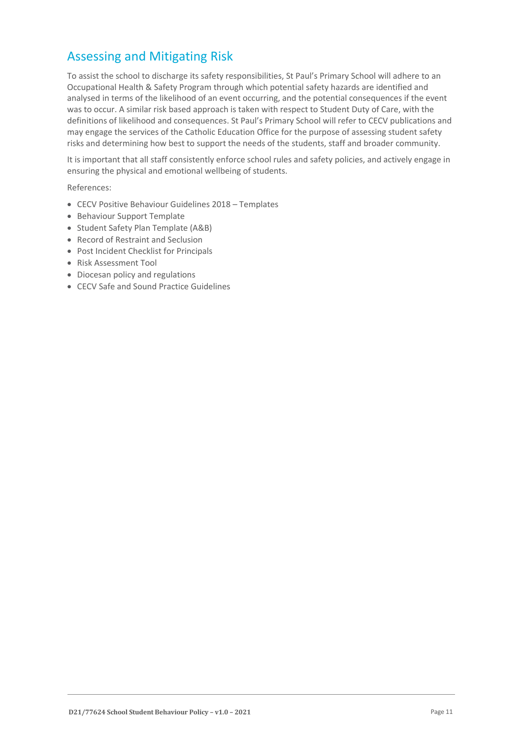# Assessing and Mitigating Risk

To assist the school to discharge its safety responsibilities, St Paul's Primary School will adhere to an Occupational Health & Safety Program through which potential safety hazards are identified and analysed in terms of the likelihood of an event occurring, and the potential consequences if the event was to occur. A similar risk based approach is taken with respect to Student Duty of Care, with the definitions of likelihood and consequences. St Paul's Primary School will refer to CECV publications and may engage the services of the Catholic Education Office for the purpose of assessing student safety risks and determining how best to support the needs of the students, staff and broader community.

It is important that all staff consistently enforce school rules and safety policies, and actively engage in ensuring the physical and emotional wellbeing of students.

References:

- CECV Positive Behaviour Guidelines 2018 Templates
- Behaviour Support Template
- Student Safety Plan Template (A&B)
- Record of Restraint and Seclusion
- Post Incident Checklist for Principals
- Risk Assessment Tool
- Diocesan policy and regulations
- CECV Safe and Sound Practice Guidelines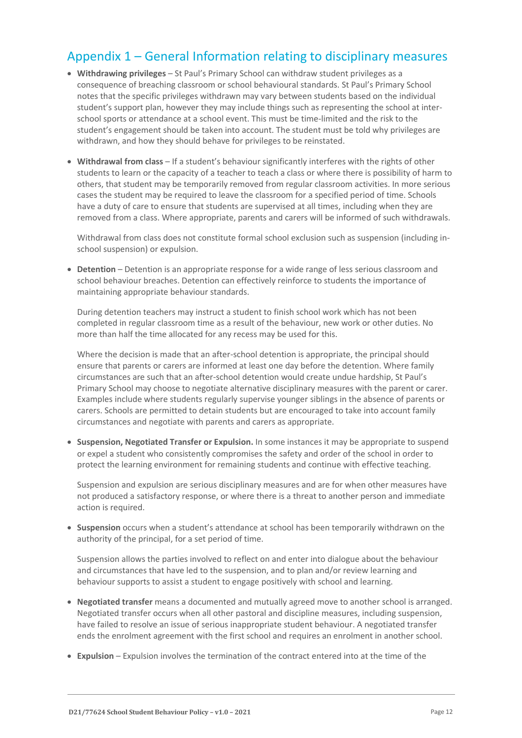## Appendix 1 – General Information relating to disciplinary measures

- **Withdrawing privileges** St Paul's Primary School can withdraw student privileges as a consequence of breaching classroom or school behavioural standards. St Paul's Primary School notes that the specific privileges withdrawn may vary between students based on the individual student's support plan, however they may include things such as representing the school at interschool sports or attendance at a school event. This must be time-limited and the risk to the student's engagement should be taken into account. The student must be told why privileges are withdrawn, and how they should behave for privileges to be reinstated.
- **Withdrawal from class** If a student's behaviour significantly interferes with the rights of other students to learn or the capacity of a teacher to teach a class or where there is possibility of harm to others, that student may be temporarily removed from regular classroom activities. In more serious cases the student may be required to leave the classroom for a specified period of time. Schools have a duty of care to ensure that students are supervised at all times, including when they are removed from a class. Where appropriate, parents and carers will be informed of such withdrawals.

Withdrawal from class does not constitute formal school exclusion such as suspension (including inschool suspension) or expulsion.

• **Detention** – Detention is an appropriate response for a wide range of less serious classroom and school behaviour breaches. Detention can effectively reinforce to students the importance of maintaining appropriate behaviour standards.

During detention teachers may instruct a student to finish school work which has not been completed in regular classroom time as a result of the behaviour, new work or other duties. No more than half the time allocated for any recess may be used for this.

Where the decision is made that an after-school detention is appropriate, the principal should ensure that parents or carers are informed at least one day before the detention. Where family circumstances are such that an after-school detention would create undue hardship, St Paul's Primary School may choose to negotiate alternative disciplinary measures with the parent or carer. Examples include where students regularly supervise younger siblings in the absence of parents or carers. Schools are permitted to detain students but are encouraged to take into account family circumstances and negotiate with parents and carers as appropriate.

• **Suspension, Negotiated Transfer or Expulsion.** In some instances it may be appropriate to suspend or expel a student who consistently compromises the safety and order of the school in order to protect the learning environment for remaining students and continue with effective teaching.

Suspension and expulsion are serious disciplinary measures and are for when other measures have not produced a satisfactory response, or where there is a threat to another person and immediate action is required.

• **Suspension** occurs when a student's attendance at school has been temporarily withdrawn on the authority of the principal, for a set period of time.

Suspension allows the parties involved to reflect on and enter into dialogue about the behaviour and circumstances that have led to the suspension, and to plan and/or review learning and behaviour supports to assist a student to engage positively with school and learning.

- **Negotiated transfer** means a documented and mutually agreed move to another school is arranged. Negotiated transfer occurs when all other pastoral and discipline measures, including suspension, have failed to resolve an issue of serious inappropriate student behaviour. A negotiated transfer ends the enrolment agreement with the first school and requires an enrolment in another school.
- **Expulsion** Expulsion involves the termination of the contract entered into at the time of the